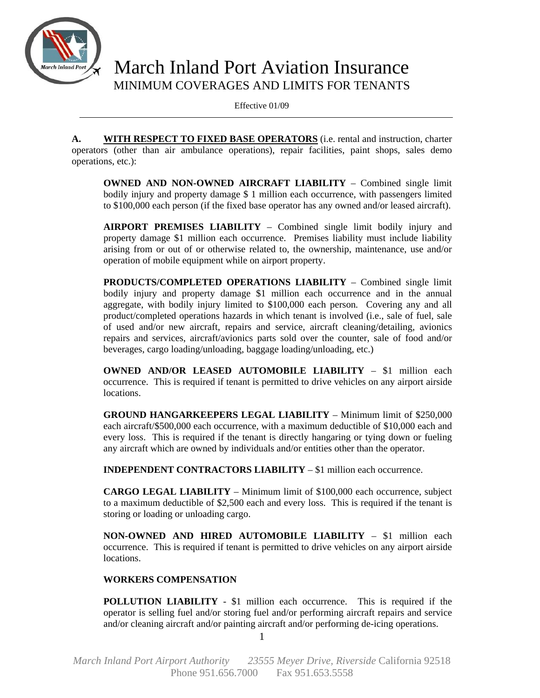

# March Inland Port Aviation Insurance MINIMUM COVERAGES AND LIMITS FOR TENANTS

Effective 01/09

**A. WITH RESPECT TO FIXED BASE OPERATORS** (i.e. rental and instruction, charter operators (other than air ambulance operations), repair facilities, paint shops, sales demo operations, etc.):

**OWNED AND NON-OWNED AIRCRAFT LIABILITY** – Combined single limit bodily injury and property damage \$ 1 million each occurrence, with passengers limited to \$100,000 each person (if the fixed base operator has any owned and/or leased aircraft).

**AIRPORT PREMISES LIABILITY** – Combined single limit bodily injury and property damage \$1 million each occurrence. Premises liability must include liability arising from or out of or otherwise related to, the ownership, maintenance, use and/or operation of mobile equipment while on airport property.

**PRODUCTS/COMPLETED OPERATIONS LIABILITY** – Combined single limit bodily injury and property damage \$1 million each occurrence and in the annual aggregate, with bodily injury limited to \$100,000 each person*.* Covering any and all product/completed operations hazards in which tenant is involved (i.e., sale of fuel, sale of used and/or new aircraft, repairs and service, aircraft cleaning/detailing, avionics repairs and services, aircraft/avionics parts sold over the counter, sale of food and/or beverages, cargo loading/unloading, baggage loading/unloading, etc.)

**OWNED AND/OR LEASED AUTOMOBILE LIABILITY** – \$1 million each occurrence. This is required if tenant is permitted to drive vehicles on any airport airside locations.

**GROUND HANGARKEEPERS LEGAL LIABILITY** – Minimum limit of \$250,000 each aircraft/\$500,000 each occurrence, with a maximum deductible of \$10,000 each and every loss. This is required if the tenant is directly hangaring or tying down or fueling any aircraft which are owned by individuals and/or entities other than the operator.

**INDEPENDENT CONTRACTORS LIABILITY** – \$1 million each occurrence.

**CARGO LEGAL LIABILITY** – Minimum limit of \$100,000 each occurrence, subject to a maximum deductible of \$2,500 each and every loss. This is required if the tenant is storing or loading or unloading cargo.

**NON-OWNED AND HIRED AUTOMOBILE LIABILITY** – \$1 million each occurrence. This is required if tenant is permitted to drive vehicles on any airport airside locations.

# **WORKERS COMPENSATION**

**POLLUTION LIABILITY** - \$1 million each occurrence. This is required if the operator is selling fuel and/or storing fuel and/or performing aircraft repairs and service and/or cleaning aircraft and/or painting aircraft and/or performing de-icing operations.

1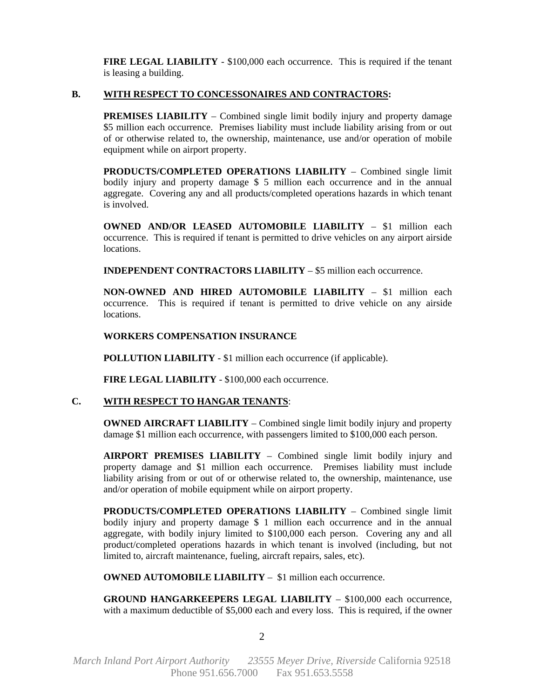**FIRE LEGAL LIABILITY** - \$100,000 each occurrence. This is required if the tenant is leasing a building.

## **B. WITH RESPECT TO CONCESSONAIRES AND CONTRACTORS:**

**PREMISES LIABILITY** – Combined single limit bodily injury and property damage \$5 million each occurrence. Premises liability must include liability arising from or out of or otherwise related to, the ownership, maintenance, use and/or operation of mobile equipment while on airport property.

**PRODUCTS/COMPLETED OPERATIONS LIABILITY** – Combined single limit bodily injury and property damage \$ 5 million each occurrence and in the annual aggregate. Covering any and all products/completed operations hazards in which tenant is involved.

**OWNED AND/OR LEASED AUTOMOBILE LIABILITY** – \$1 million each occurrence. This is required if tenant is permitted to drive vehicles on any airport airside locations.

**INDEPENDENT CONTRACTORS LIABILITY** – \$5 million each occurrence.

**NON-OWNED AND HIRED AUTOMOBILE LIABILITY** – \$1 million each occurrence. This is required if tenant is permitted to drive vehicle on any airside locations.

## **WORKERS COMPENSATION INSURANCE**

**POLLUTION LIABILITY** - \$1 million each occurrence (if applicable).

**FIRE LEGAL LIABILITY** - \$100,000 each occurrence.

#### **C. WITH RESPECT TO HANGAR TENANTS**:

**OWNED AIRCRAFT LIABILITY** – Combined single limit bodily injury and property damage \$1 million each occurrence, with passengers limited to \$100,000 each person.

**AIRPORT PREMISES LIABILITY** – Combined single limit bodily injury and property damage and \$1 million each occurrence. Premises liability must include liability arising from or out of or otherwise related to, the ownership, maintenance, use and/or operation of mobile equipment while on airport property.

**PRODUCTS/COMPLETED OPERATIONS LIABILITY** – Combined single limit bodily injury and property damage \$ 1 million each occurrence and in the annual aggregate, with bodily injury limited to \$100,000 each person. Covering any and all product/completed operations hazards in which tenant is involved (including, but not limited to, aircraft maintenance, fueling, aircraft repairs, sales, etc).

**OWNED AUTOMOBILE LIABILITY** – \$1 million each occurrence.

**GROUND HANGARKEEPERS LEGAL LIABILITY** – \$100,000 each occurrence, with a maximum deductible of \$5,000 each and every loss. This is required, if the owner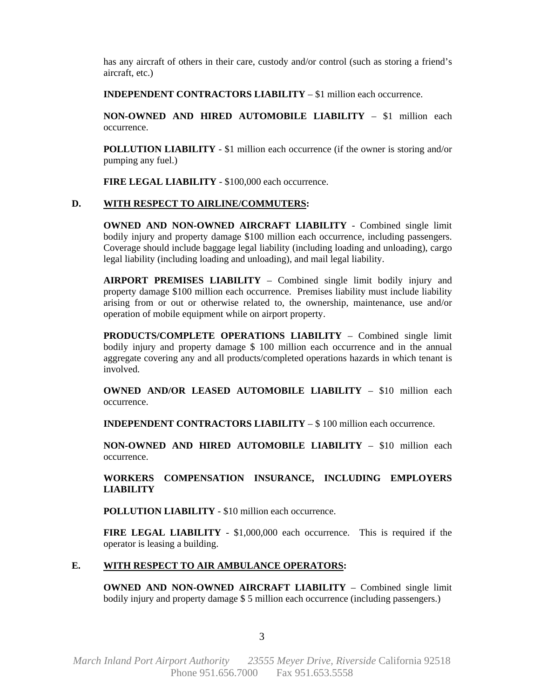has any aircraft of others in their care, custody and/or control (such as storing a friend's aircraft, etc.)

**INDEPENDENT CONTRACTORS LIABILITY** – \$1 million each occurrence.

**NON-OWNED AND HIRED AUTOMOBILE LIABILITY** – \$1 million each occurrence.

**POLLUTION LIABILITY** - \$1 million each occurrence (if the owner is storing and/or pumping any fuel.)

**FIRE LEGAL LIABILITY** - \$100,000 each occurrence.

## **D. WITH RESPECT TO AIRLINE/COMMUTERS:**

**OWNED AND NON-OWNED AIRCRAFT LIABILITY** - Combined single limit bodily injury and property damage \$100 million each occurrence, including passengers. Coverage should include baggage legal liability (including loading and unloading), cargo legal liability (including loading and unloading), and mail legal liability.

**AIRPORT PREMISES LIABILITY** – Combined single limit bodily injury and property damage \$100 million each occurrence. Premises liability must include liability arising from or out or otherwise related to, the ownership, maintenance, use and/or operation of mobile equipment while on airport property.

**PRODUCTS/COMPLETE OPERATIONS LIABILITY** – Combined single limit bodily injury and property damage \$ 100 million each occurrence and in the annual aggregate covering any and all products/completed operations hazards in which tenant is involved.

**OWNED AND/OR LEASED AUTOMOBILE LIABILITY** – \$10 million each occurrence.

**INDEPENDENT CONTRACTORS LIABILITY** – \$ 100 million each occurrence.

**NON-OWNED AND HIRED AUTOMOBILE LIABILITY** – \$10 million each occurrence.

**WORKERS COMPENSATION INSURANCE, INCLUDING EMPLOYERS LIABILITY**

**POLLUTION LIABILITY** - \$10 million each occurrence.

**FIRE LEGAL LIABILITY** - \$1,000,000 each occurrence. This is required if the operator is leasing a building.

#### **E. WITH RESPECT TO AIR AMBULANCE OPERATORS:**

**OWNED AND NON-OWNED AIRCRAFT LIABILITY** – Combined single limit bodily injury and property damage \$ 5 million each occurrence (including passengers.)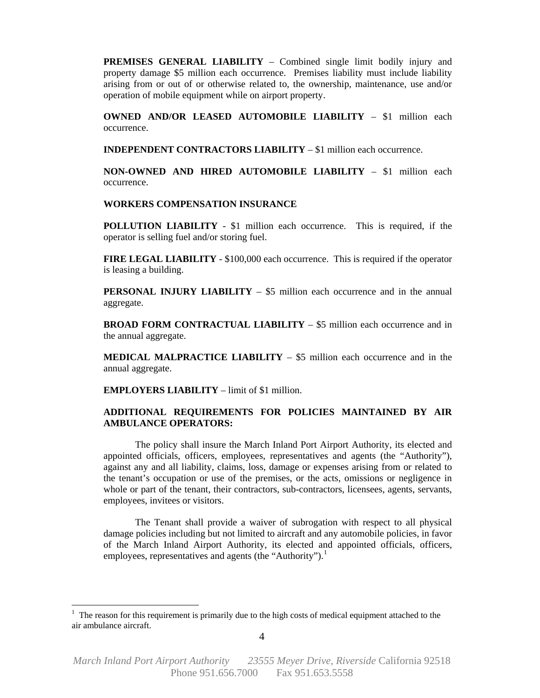**PREMISES GENERAL LIABILITY** – Combined single limit bodily injury and property damage \$5 million each occurrence. Premises liability must include liability arising from or out of or otherwise related to, the ownership, maintenance, use and/or operation of mobile equipment while on airport property.

**OWNED AND/OR LEASED AUTOMOBILE LIABILITY** – \$1 million each occurrence.

**INDEPENDENT CONTRACTORS LIABILITY** – \$1 million each occurrence.

**NON-OWNED AND HIRED AUTOMOBILE LIABILITY** – \$1 million each occurrence.

#### **WORKERS COMPENSATION INSURANCE**

**POLLUTION LIABILITY** - \$1 million each occurrence. This is required, if the operator is selling fuel and/or storing fuel.

**FIRE LEGAL LIABILITY** - \$100,000 each occurrence. This is required if the operator is leasing a building.

**PERSONAL INJURY LIABILITY** – \$5 million each occurrence and in the annual aggregate.

**BROAD FORM CONTRACTUAL LIABILITY** – \$5 million each occurrence and in the annual aggregate.

**MEDICAL MALPRACTICE LIABILITY** – \$5 million each occurrence and in the annual aggregate.

**EMPLOYERS LIABILITY** – limit of \$1 million.

1

## **ADDITIONAL REQUIREMENTS FOR POLICIES MAINTAINED BY AIR AMBULANCE OPERATORS:**

 The policy shall insure the March Inland Port Airport Authority, its elected and appointed officials, officers, employees, representatives and agents (the "Authority"), against any and all liability, claims, loss, damage or expenses arising from or related to the tenant's occupation or use of the premises, or the acts, omissions or negligence in whole or part of the tenant, their contractors, sub-contractors, licensees, agents, servants, employees, invitees or visitors.

 The Tenant shall provide a waiver of subrogation with respect to all physical damage policies including but not limited to aircraft and any automobile policies, in favor of the March Inland Airport Authority, its elected and appointed officials, officers, employees, representatives and agents (the "Authority").<sup>[1](#page-3-0)</sup>

<span id="page-3-0"></span> $1$  The reason for this requirement is primarily due to the high costs of medical equipment attached to the air ambulance aircraft.